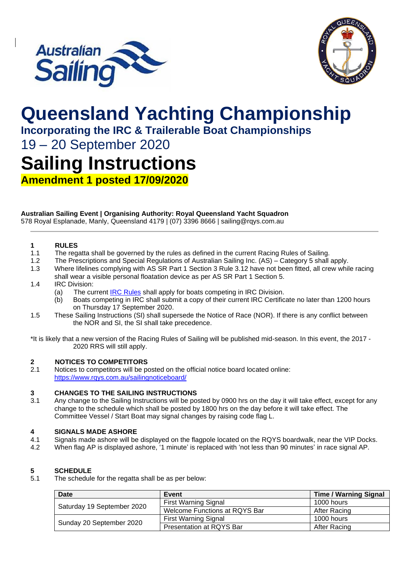



# **Queensland Yachting Championship**

**Incorporating the IRC & Trailerable Boat Championships**

19 – 20 September 2020

## **Sailing Instructions**

**Amendment 1 posted 17/09/2020**

#### **Australian Sailing Event | Organising Authority: Royal Queensland Yacht Squadron**

578 Royal Esplanade, Manly, Queensland 4179 | (07) 3396 8666 | sailing@rqys.com.au

### **1 RULES**

- The regatta shall be governed by the rules as defined in the current Racing Rules of Sailing.
- 1.2 The Prescriptions and Special Regulations of Australian Sailing Inc. (AS) Category 5 shall apply.
- 1.3 Where lifelines complying with AS SR Part 1 Section 3 Rule 3.12 have not been fitted, all crew while racing shall wear a visible personal floatation device as per AS SR Part 1 Section 5.
- 1.4 IRC Division:
	- (a) The current **[IRC Rules](https://ircrating.org/wp-content/uploads/2019/01/irc-rule-2019.pdf)** shall apply for boats competing in IRC Division.
	- (b) Boats competing in IRC shall submit a copy of their current IRC Certificate no later than 1200 hours on Thursday 17 September 2020.
- 1.5 These Sailing Instructions (SI) shall supersede the Notice of Race (NOR). If there is any conflict between the NOR and SI, the SI shall take precedence.

\*It is likely that a new version of the Racing Rules of Sailing will be published mid-season. In this event, the 2017 - 2020 RRS will still apply.

### **2 NOTICES TO COMPETITORS**<br>2.1 **Notices to competitors will be po**

Notices to competitors will be posted on the official notice board located online: <https://www.rqys.com.au/sailingnoticeboard/>

#### **3 CHANGES TO THE SAILING INSTRUCTIONS**

3.1 Any change to the Sailing Instructions will be posted by 0900 hrs on the day it will take effect, except for any change to the schedule which shall be posted by 1800 hrs on the day before it will take effect. The Committee Vessel / Start Boat may signal changes by raising code flag L.

## **4 SIGNALS MADE ASHORE**

- Signals made ashore will be displayed on the flagpole located on the RQYS boardwalk, near the VIP Docks.
- 4.2 When flag AP is displayed ashore, '1 minute' is replaced with 'not less than 90 minutes' in race signal AP.

#### **5 SCHEDULE**

5.1 The schedule for the regatta shall be as per below:

| Date                       | Event                         | <b>Time / Warning Signal</b> |
|----------------------------|-------------------------------|------------------------------|
| Saturday 19 September 2020 | <b>First Warning Signal</b>   | 1000 hours                   |
|                            | Welcome Functions at RQYS Bar | After Racing                 |
| Sunday 20 September 2020   | <b>First Warning Signal</b>   | 1000 hours                   |
|                            | Presentation at RQYS Bar      | After Racing                 |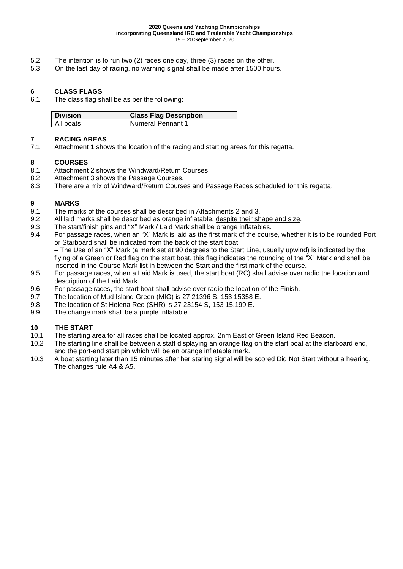- 5.2 The intention is to run two (2) races one day, three (3) races on the other.
- 5.3 On the last day of racing, no warning signal shall be made after 1500 hours.

### **6 CLASS FLAGS**

The class flag shall be as per the following:

| <b>Division</b> | <b>Class Flag Description</b> |
|-----------------|-------------------------------|
| All boats       | Numeral Pennant 1             |

### **7 RACING AREAS**

Attachment 1 shows the location of the racing and starting areas for this regatta.

#### **8 COURSES**

- 8.1 Attachment 2 shows the Windward/Return Courses.
- 8.2 Attachment 3 shows the Passage Courses.
- 8.3 There are a mix of Windward/Return Courses and Passage Races scheduled for this regatta.

### **9 MARKS**

- The marks of the courses shall be described in Attachments 2 and 3.
- 9.2 All laid marks shall be described as orange inflatable, despite their shape and size.<br>9.3 The start/finish pins and "X" Mark / Laid Mark shall be orange inflatables.
- The start/finish pins and "X" Mark / Laid Mark shall be orange inflatables.
- 9.4 For passage races, when an "X" Mark is laid as the first mark of the course, whether it is to be rounded Port or Starboard shall be indicated from the back of the start boat.

– The Use of an "X" Mark (a mark set at 90 degrees to the Start Line, usually upwind) is indicated by the flying of a Green or Red flag on the start boat, this flag indicates the rounding of the "X" Mark and shall be inserted in the Course Mark list in between the Start and the first mark of the course.

- 9.5 For passage races, when a Laid Mark is used, the start boat (RC) shall advise over radio the location and description of the Laid Mark.
- 9.6 For passage races, the start boat shall advise over radio the location of the Finish.<br>9.7 The location of Mud Island Green (MIG) is 27 21396 S. 153 15358 E.
- 9.7 The location of Mud Island Green (MIG) is 27 21396 S, 153 15358 E.
- 9.8 The location of St Helena Red (SHR) is 27 23154 S, 153 15.199 E.
- 9.9 The change mark shall be a purple inflatable.

#### **10 THE START**

- 10.1 The starting area for all races shall be located approx. 2nm East of Green Island Red Beacon.
- 10.2 The starting line shall be between a staff displaying an orange flag on the start boat at the starboard end, and the port-end start pin which will be an orange inflatable mark.
- 10.3 A boat starting later than 15 minutes after her staring signal will be scored Did Not Start without a hearing. The changes rule A4 & A5.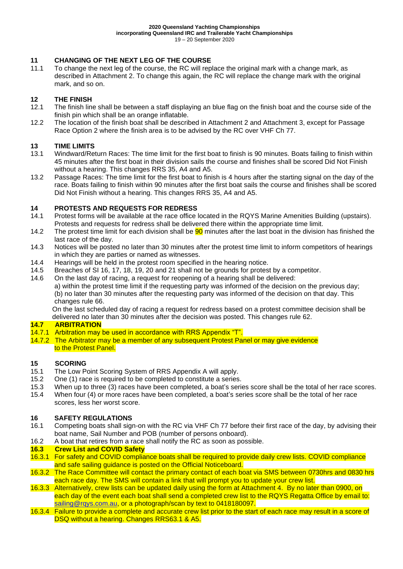#### **11 CHANGING OF THE NEXT LEG OF THE COURSE**

11.1 To change the next leg of the course, the RC will replace the original mark with a change mark, as described in Attachment 2. To change this again, the RC will replace the change mark with the original mark, and so on.

### **12 THE FINISH**

- The finish line shall be between a staff displaying an blue flag on the finish boat and the course side of the finish pin which shall be an orange inflatable.
- 12.2 The location of the finish boat shall be described in Attachment 2 and Attachment 3, except for Passage Race Option 2 where the finish area is to be advised by the RC over VHF Ch 77.

### **13 TIME LIMITS**

- 13.1 Windward/Return Races: The time limit for the first boat to finish is 90 minutes. Boats failing to finish within 45 minutes after the first boat in their division sails the course and finishes shall be scored Did Not Finish without a hearing. This changes RRS 35, A4 and A5.
- 13.2 Passage Races: The time limit for the first boat to finish is 4 hours after the starting signal on the day of the race. Boats failing to finish within 90 minutes after the first boat sails the course and finishes shall be scored Did Not Finish without a hearing. This changes RRS 35, A4 and A5.

#### **14 PROTESTS AND REQUESTS FOR REDRESS**

- 14.1 Protest forms will be available at the race office located in the RQYS Marine Amenities Building (upstairs). Protests and requests for redress shall be delivered there within the appropriate time limit.
- 14.2 The protest time limit for each division shall be **90** minutes after the last boat in the division has finished the last race of the day.
- 14.3 Notices will be posted no later than 30 minutes after the protest time limit to inform competitors of hearings in which they are parties or named as witnesses.
- 14.4 Hearings will be held in the protest room specified in the hearing notice.<br>14.5 Breaches of SI 16, 17, 18, 19, 20 and 21 shall not be grounds for protes
- Breaches of SI 16, 17, 18, 19, 20 and 21 shall not be grounds for protest by a competitor.
- 14.6 On the last day of racing, a request for reopening of a hearing shall be delivered: a) within the protest time limit if the requesting party was informed of the decision on the previous day; (b) no later than 30 minutes after the requesting party was informed of the decision on that day. This changes rule 66.

On the last scheduled day of racing a request for redress based on a protest committee decision shall be delivered no later than 30 minutes after the decision was posted. This changes rule 62.

#### **14.7 ARBITRATION**

- 14.7.1 Arbitration may be used in accordance with RRS Appendix "T".
- 14.7.2 The Arbitrator may be a member of any subsequent Protest Panel or may give evidence to the Protest Panel.

#### **15 SCORING**

- 15.1 The Low Point Scoring System of RRS Appendix A will apply.
- 15.2 One (1) race is required to be completed to constitute a series.
- 15.3 When up to three (3) races have been completed, a boat's series score shall be the total of her race scores.
- 15.4 When four (4) or more races have been completed, a boat's series score shall be the total of her race scores, less her worst score.

### **16 SAFETY REGULATIONS**

- 16.1 Competing boats shall sign-on with the RC via VHF Ch 77 before their first race of the day, by advising their boat name, Sail Number and POB (number of persons onboard).
- 16.2 A boat that retires from a race shall notify the RC as soon as possible.

#### **16.3 Crew List and COVID Safety**

- 16.3.1 For safety and COVID compliance boats shall be required to provide daily crew lists. COVID compliance and safe sailing guidance is posted on the Official Noticeboard.
- 16.3.2 The Race Committee will contact the primary contact of each boat via SMS between 0730hrs and 0830 hrs each race day. The SMS will contain a link that will prompt you to update your crew list.
- 16.3.3 Alternatively, crew lists can be updated daily using the form at Attachment 4. By no later than 0900, on each day of the event each boat shall send a completed crew list to the RQYS Regatta Office by email to: [sailing@rqys.com.au,](mailto:sailing@rqys.com.au) or a photograph/scan by text to 0418180097.
- 16.3.4 Failure to provide a complete and accurate crew list prior to the start of each race may result in a score of DSQ without a hearing. Changes RRS63.1 & A5.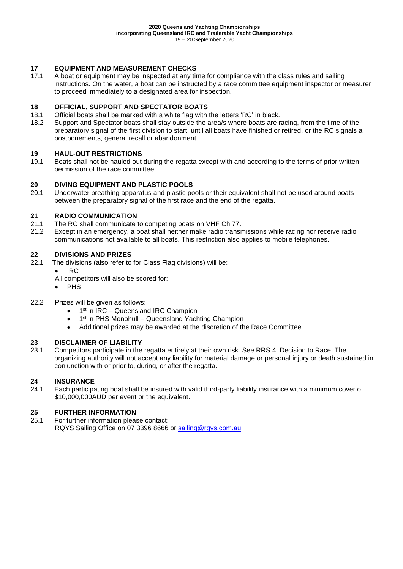### **17 EQUIPMENT AND MEASUREMENT CHECKS**

A boat or equipment may be inspected at any time for compliance with the class rules and sailing instructions. On the water, a boat can be instructed by a race committee equipment inspector or measurer to proceed immediately to a designated area for inspection.

### **18 OFFICIAL, SUPPORT AND SPECTATOR BOATS**

- Official boats shall be marked with a white flag with the letters 'RC' in black.
- 18.2 Support and Spectator boats shall stay outside the area/s where boats are racing, from the time of the preparatory signal of the first division to start, until all boats have finished or retired, or the RC signals a postponements, general recall or abandonment.

### **19 HAUL-OUT RESTRICTIONS**

Boats shall not be hauled out during the regatta except with and according to the terms of prior written permission of the race committee.

### **20 DIVING EQUIPMENT AND PLASTIC POOLS**

Underwater breathing apparatus and plastic pools or their equivalent shall not be used around boats between the preparatory signal of the first race and the end of the regatta.

#### **21 RADIO COMMUNICATION**

- 21.1 The RC shall communicate to competing boats on VHF Ch 77.
- 21.2 Except in an emergency, a boat shall neither make radio transmissions while racing nor receive radio communications not available to all boats. This restriction also applies to mobile telephones.

### **22 DIVISIONS AND PRIZES**

- The divisions (also refer to for Class Flag divisions) will be:
	- IRC

All competitors will also be scored for:

- PHS
- 22.2 Prizes will be given as follows:
	- 1<sup>st</sup> in IRC Queensland IRC Champion
	- 1<sup>st</sup> in PHS Monohull Queensland Yachting Champion
	- Additional prizes may be awarded at the discretion of the Race Committee.

#### **23 DISCLAIMER OF LIABILITY**

23.1 Competitors participate in the regatta entirely at their own risk. See RRS 4, Decision to Race. The organizing authority will not accept any liability for material damage or personal injury or death sustained in conjunction with or prior to, during, or after the regatta.

### **24 INSURANCE**

Each participating boat shall be insured with valid third-party liability insurance with a minimum cover of \$10,000,000AUD per event or the equivalent.

### **25 FURTHER INFORMATION**

For further information please contact: RQYS Sailing Office on 07 3396 8666 or [sailing@rqys.com.au](mailto:sailing@rqys.com.au)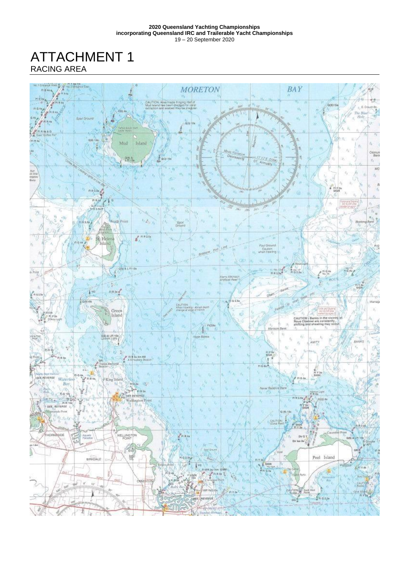ATTACHMENT 1 RACING AREA

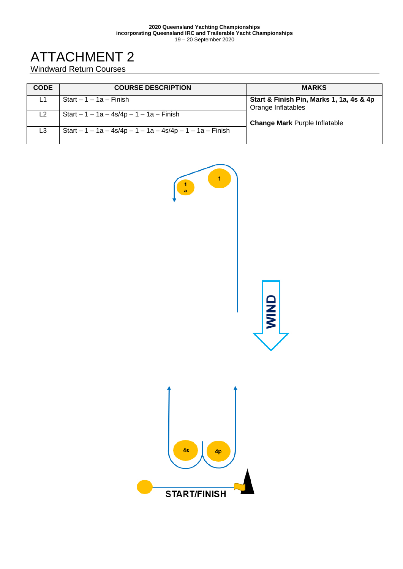#### **2020 Queensland Yachting Championships incorporating Queensland IRC and Trailerable Yacht Championships** 19 – 20 September 2020

## ATTACHMENT 2

Windward Return Courses

| <b>CODE</b>    | <b>COURSE DESCRIPTION</b>                                  | <b>MARKS</b>                                                   |
|----------------|------------------------------------------------------------|----------------------------------------------------------------|
| L1             | $Start - 1 - 1a - Finish$                                  | Start & Finish Pin, Marks 1, 1a, 4s & 4p<br>Orange Inflatables |
| L <sub>2</sub> | Start $-1 - 1a - 4s/4p - 1 - 1a - F$ inish                 | <b>Change Mark Purple Inflatable</b>                           |
| L3             | Start $-1 - 1a - 4s/4p - 1 - 1a - 4s/4p - 1 - 1a - Finish$ |                                                                |

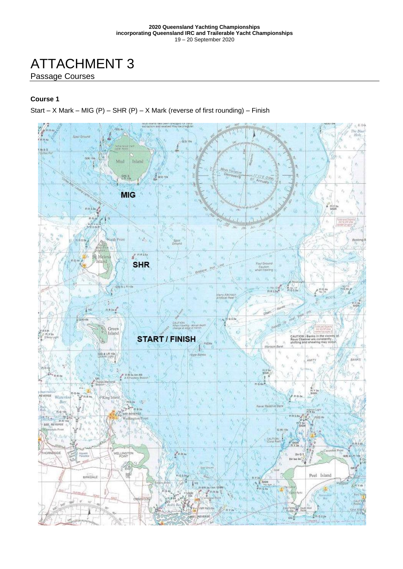## ATTACHMENT 3

#### Passage Courses

#### **Course 1**

Start – X Mark – MIG (P) – SHR (P) – X Mark (reverse of first rounding) – Finish